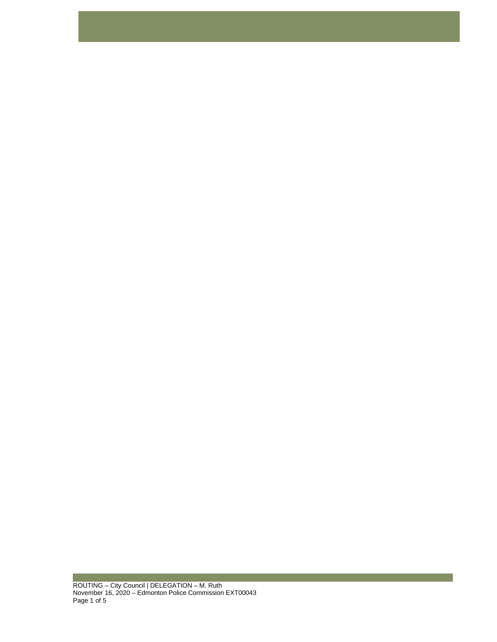#### ROUTING – City Council | DELEGATION – M. Ruth November 16, 2020 – Edmonton Police Commission EXT00043 Page 1 of 5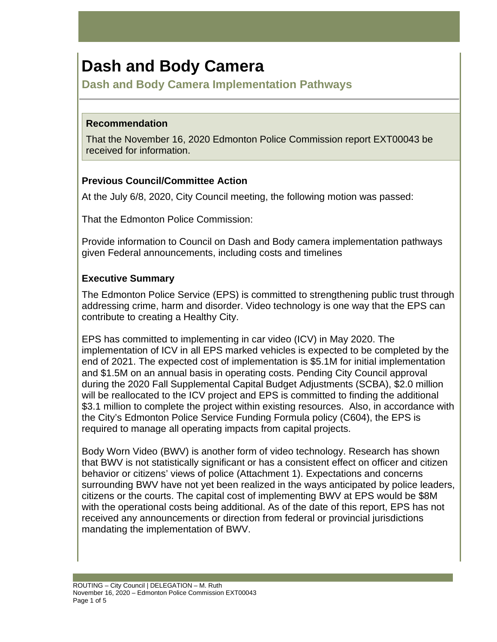# **Dash and Body Camera**

**Dash and Body Camera Implementation Pathways** 

## **Recommendation**

That the November 16, 2020 Edmonton Police Commission report EXT00043 be received for information.

# **Previous Council/Committee Action**

At the July 6/8, 2020, City Council meeting, the following motion was passed:

That the Edmonton Police Commission:

Provide information to Council on Dash and Body camera implementation pathways given Federal announcements, including costs and timelines

# **Executive Summary**

The Edmonton Police Service (EPS) is committed to strengthening public trust through addressing crime, harm and disorder. Video technology is one way that the EPS can contribute to creating a Healthy City.

EPS has committed to implementing in car video (ICV) in May 2020. The implementation of ICV in all EPS marked vehicles is expected to be completed by the end of 2021. The expected cost of implementation is \$5.1M for initial implementation and \$1.5M on an annual basis in operating costs. Pending City Council approval during the 2020 Fall Supplemental Capital Budget Adjustments (SCBA), \$2.0 million will be reallocated to the ICV project and EPS is committed to finding the additional \$3.1 million to complete the project within existing resources. Also, in accordance with the City's Edmonton Police Service Funding Formula policy (C604), the EPS is required to manage all operating impacts from capital projects.

Body Worn Video (BWV) is another form of video technology. Research has shown that BWV is not statistically significant or has a consistent effect on officer and citizen behavior or citizens' views of police (Attachment 1). Expectations and concerns surrounding BWV have not yet been realized in the ways anticipated by police leaders, citizens or the courts. The capital cost of implementing BWV at EPS would be \$8M with the operational costs being additional. As of the date of this report, EPS has not received any announcements or direction from federal or provincial jurisdictions mandating the implementation of BWV.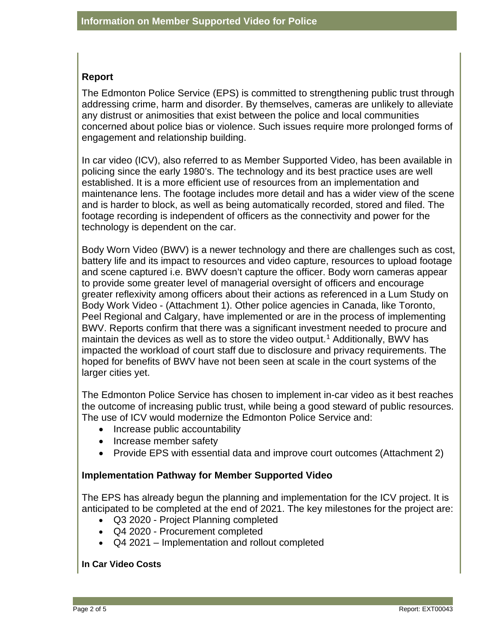#### **Report**

The Edmonton Police Service (EPS) is committed to strengthening public trust through addressing crime, harm and disorder. By themselves, cameras are unlikely to alleviate any distrust or animosities that exist between the police and local communities concerned about police bias or violence. Such issues require more prolonged forms of engagement and relationship building.

In car video (ICV), also referred to as Member Supported Video, has been available in policing since the early 1980's. The technology and its best practice uses are well established. It is a more efficient use of resources from an implementation and maintenance lens. The footage includes more detail and has a wider view of the scene and is harder to block, as well as being automatically recorded, stored and filed. The footage recording is independent of officers as the connectivity and power for the technology is dependent on the car.

Body Worn Video (BWV) is a newer technology and there are challenges such as cost, battery life and its impact to resources and video capture, resources to upload footage and scene captured i.e. BWV doesn't capture the officer. Body worn cameras appear to provide some greater level of managerial oversight of officers and encourage greater reflexivity among officers about their actions as referenced in a Lum Study on Body Work Video - (Attachment 1). Other police agencies in Canada, like Toronto, Peel Regional and Calgary, have implemented or are in the process of implementing BWV. Reports confirm that there was a significant investment needed to procure and maintain the devices as well as to store the video output.<sup>[1](#page-2-0)</sup> Additionally, BWV has impacted the workload of court staff due to disclosure and privacy requirements. The hoped for benefits of BWV have not been seen at scale in the court systems of the larger cities yet.

The Edmonton Police Service has chosen to implement in-car video as it best reaches the outcome of increasing public trust, while being a good steward of public resources. The use of ICV would modernize the Edmonton Police Service and:

- Increase public accountability
- Increase member safety
- Provide EPS with essential data and improve court outcomes (Attachment 2)

#### **Implementation Pathway for Member Supported Video**

The EPS has already begun the planning and implementation for the ICV project. It is anticipated to be completed at the end of 2021. The key milestones for the project are:

- Q3 2020 Project Planning completed
- Q4 2020 Procurement completed
- Q4 2021 Implementation and rollout completed

#### <span id="page-2-0"></span>**In Car Video Costs**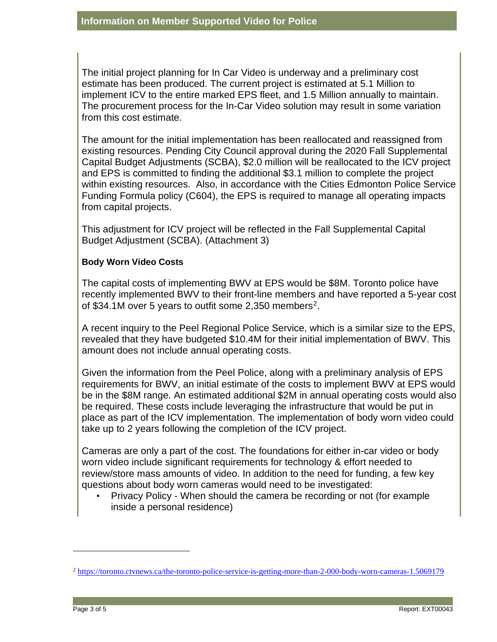The initial project planning for In Car Video is underway and a preliminary cost estimate has been produced. The current project is estimated at 5.1 Million to implement ICV to the entire marked EPS fleet, and 1.5 Million annually to maintain. The procurement process for the In-Car Video solution may result in some variation from this cost estimate.

The amount for the initial implementation has been reallocated and reassigned from existing resources. Pending City Council approval during the 2020 Fall Supplemental Capital Budget Adjustments (SCBA), \$2.0 million will be reallocated to the ICV project and EPS is committed to finding the additional \$3.1 million to complete the project within existing resources. Also, in accordance with the Cities Edmonton Police Service Funding Formula policy (C604), the EPS is required to manage all operating impacts from capital projects.

This adjustment for ICV project will be reflected in the Fall Supplemental Capital Budget Adjustment (SCBA). (Attachment 3)

#### **Body Worn Video Costs**

The capital costs of implementing BWV at EPS would be \$8M. Toronto police have recently implemented BWV to their front-line members and have reported a 5-year cost of \$34.1M over 5 years to outfit some 2,350 members<sup>2</sup>.

A recent inquiry to the Peel Regional Police Service, which is a similar size to the EPS, revealed that they have budgeted \$10.4M for their initial implementation of BWV. This amount does not include annual operating costs.

Given the information from the Peel Police, along with a preliminary analysis of EPS requirements for BWV, an initial estimate of the costs to implement BWV at EPS would be in the \$8M range. An estimated additional \$2M in annual operating costs would also be required. These costs include leveraging the infrastructure that would be put in place as part of the ICV implementation. The implementation of body worn video could take up to 2 years following the completion of the ICV project.

Cameras are only a part of the cost. The foundations for either in-car video or body worn video include significant requirements for technology & effort needed to review/store mass amounts of video. In addition to the need for funding, a few key questions about body worn cameras would need to be investigated:

• Privacy Policy - When should the camera be recording or not (for example inside a personal residence)

<span id="page-3-0"></span><sup>2</sup> <https://toronto.ctvnews.ca/the-toronto-police-service-is-getting-more-than-2-000-body-worn-cameras-1.5069179>